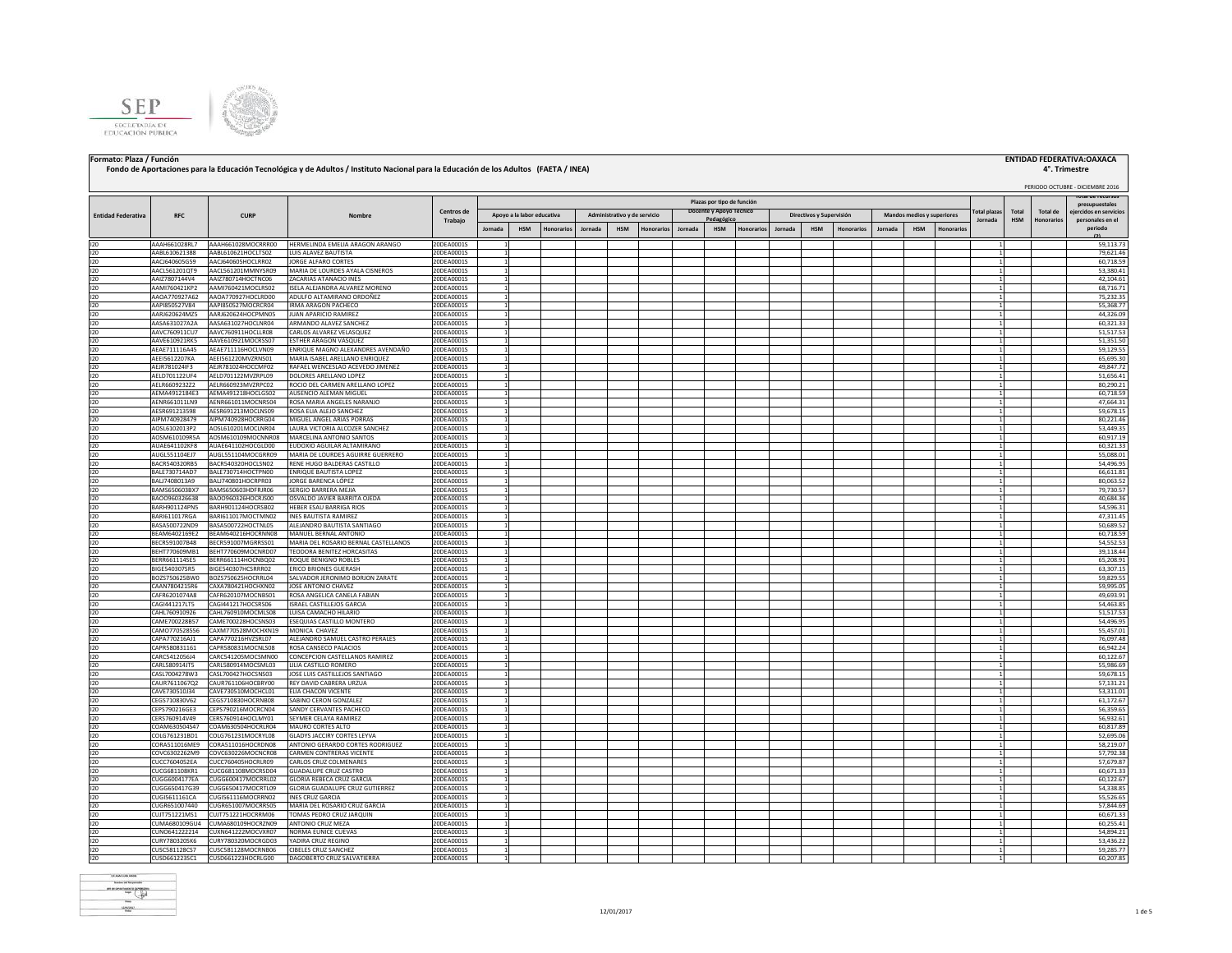



## **Fondo de Aportaciones para la Educación Tecnológica y de Adultos / Instituto Nacional para la Educación de los Adultos (FAETA / INEA)**

## **Formato: Plaza / Función ENTIDAD FEDERATIVA:OAXACA**

## **4°. Trimestre**

### PERIODO OCTUBRE - DICIEMBRE 2016 **Jornada HSM Honorarios Jornada HSM Honorarios Jornada HSM Honorarios Jornada HSM Honorarios Jornada HSM Honorarios** I20 AAAH661028RL7 AAAH661028MOCRRR00 HERMELINDA EMELIA ARAGON ARANGO 20DEA0001S 1 1 59,113.73 I20 AABL610621388 AABL610621HOCLTS02 LUIS ALAVEZ BAUTISTA 20DEA0001S 1 1 79,621.46 I20 AACJ640605G59 AACJ640605HOCLRR02 JORGE ALFARO CORTES 20DEA0001S 1 1 60,718.59 I20 AACL561201QT9 AACL561201MMNYSR09 MARIA DE LOURDES AYALA CISNEROS 20DEA0001S 1 1 53,380.41 I20 AAIZ7807144V4 AAIZ780714HOCTNC06 ZACARIAS ATANACIO INES 20DEA0001S 1 1 42,104.61 I20 AAMI760421KP2 AAMI760421MOCLRS02 ISELA ALEJANDRA ALVAREZ MORENO 20DEA0001S 1 1 68,716.71 I20 AAOA770927A62 AAOA770927HOCLRD00 ADULFO ALTAMIRANO ORDOÑEZ 20DEA0001S 1 1 75,232.35 I20 AAPI850527V84 AAPI850527MOCRCR04 IRMA ARAGON PACHECO 20DEA0001S 1 1 55,368.77 I20 AARJ620624MZ5 AARJ620624HOCPMN05 JUAN APARICIO RAMIREZ 20DEA0001S 1 1 44,326.09 I20 AASA631027A2A AASA631027HOCLNR04 ARMANDO ALAVEZ SANCHEZ 20DEA0001S 1 1 60,321.33 I20 AAVC760911CU7 AAVC760911HOCLLR08 CARLOS ALVAREZ VELASQUEZ 20DEA0001S 1 1 51,517.53 I20 AAVE610921RK5 AAVE610921MOCRSS07 ESTHER ARAGON VASQUEZ 20DEA0001S 1 1 51,351.50 I20 AEAE711116A45 AEAE711116HOCLVN09 ENRIQUE MAGNO ALEXANDRES AVENDAÑO 20DEA0001S 1 1 59,129.55 I20 AEEI5612207KA AEEI561220MVZRNS01 MARIA ISABEL ARELLANO ENRIQUEZ 20DEA0001S 1 1 65,695.30 I20 AEJR781024IF3 AEJR781024HOCCMF02 RAFAEL WENCESLAO ACEVEDO JIMENEZ 20DEA0001S 1 1 49,847.72 I20 AELD701122UF4 AELD701122MVZRPL09 DOLORES ARELLANO LOPEZ 20DEA0001S 1 1 51,656.41 I20 AELR6609232Z2 AELR660923MVZRPC02 ROCIO DEL CARMEN ARELLANO LOPEZ 20DEA0001S 1 1 80,290.21 I20 AEMA4912184E3 AEMA491218HOCLGS02 AUSENCIO ALEMAN MIGUEL 20DEA0001S 1 1 60,718.59 I20 AENR661011LN9 AENR661011MOCNRS04 ROSA MARIA ANGELES NARANJO 20DEA0001S 1 1 47,664.31 I20 AESR691213598 AESR691213MOCLNS09 ROSA ELIA ALEJO SANCHEZ 20DEA0001S 1 1 59,678.15 1PM740928479 AIPM740928HOCRRG04 MIGUEL ANGEL ANGEL ARIAS PORRAS 20DEA0001S 1<br>AOSL6102013P2 AOSL610201MOCLINR04 LAURA VICTORIA ALCOZER SANCHEZ 20DEA0001S 1 1 1 1 80,221.46 OSL6102013P2 AOSL610201MOCLNR04 LAURA VICTORIA ALCOZER SANCHEZ 20DEA0001S 1<br>OSM610109R5A AOSM610109MOCNNR08 MARCELINA ANTONIO SANTOS 20DEA0001S 1 1 1 500,917.19 I20 AOSM610109R5A AOSM610109MOCNNR08 MARCELINA ANTONIO SANTOS 20DEA0001S 1 1 60,917.19 AUAE641102HOCGLD00 EUDOXIO AGUILAR ALTAMIRANO AUGL551104EJ7 AUGL551104MOCGRR09 MARIA DE LOURDES AGUIRRE GUERRERO 20DEA0001S 1<br>ACCR540320RBS BACR540320HOCLSN02 RENE HUGO BALDERAS CASTILLO 20DEA0001S 1 1 1 1 54,496.95 1 54,496.95 1 54,496.95 I20 BACR540320RB5 BACR540320HOCLSN02 RENE HUGO BALDERAS CASTILLO 20DEA0001S 1 1 54,496.95 I20 BALE730714AD7 BALE730714HOCTPN00 ENRIQUE BAUTISTA LOPEZ 20DEA0001S 1 | | | | | | | | | | | | | | | 66,611.81 I20 BALI7408013A9 BALI740801HOCRPR03 JORGE BARENCA LÓPEZ 20DEA0001S 1 | | | | | | | | | | | | | | | | | 80,063.52 I20 BAMS650603BX7 BAMS650603HDFRJR06 SERGIO BARRERA MEJIA 20DEA0001S 1 1 79,730.57 BAOO960326638 BAOO960326HOCRJS00 OSVALDO JAVIER BARRITA OJEDA 20DEA0001S 1 1 1 40,684.3<br>BARH901124PNS BARH901124HOCRSB02 HEBER ESAUBARRIGA RIOS 20DEA0001S 1 1 1 40,000 1 1 1 1 54,596.364.36 ARRITA 1 I20 BARH901124PN5 BARH901124HOCRSB02 HEBER ESAU BARRIGA RIOS 20DEA0001S 1 1 54,596.31 I20 BARI611017RGA BARI611017MOCTMN02 |INESBAUTISTARAMIREZ 20DEA0001S 1 | | | | | | | | | | | | | | | | 47,311.45 I20 BASA500722ND9 BASA500722HOCTNL05 ALEJANDRO BAUTISTA SANTIAGO 20DEA0001S 1 1 50,689.52 -BEAM6402169E2 BEAM640216HOCRNN08 MANUEL BERNAL ANTONIO 20DEA0001S 1<br>BECRS91007848 BECRS91007MGRRSS01 MARIA DELROSARIO BERNAL CASTELLANOS 20DEA0001S 1 1 1 60,718.59 54,552.53 I20 BECR591007B48 BECR591007MGRRSS01 MARIA DEL ROSARIO BERNAL CASTELLANOS 20DEA0001S 1 1 54,552.53 BEHT770609MB1 BEHT770609MOCNRD07 TEODORA BENITEZ HORCASITAS 20DEA0001S 1 3 39,118.44 I20 BERR661114SE5 BERR661114HOCNBQ02 ROQUE BENIGNO ROBLES 20DEA0001S 1 1 65,208.91 I20 BIGE540307SR5 BIGE540307HCSRRR02 ERICO BRIONES GUERASH 20DEA0001S 1 1 63,307.15 I20 BOZS750625BW0 BOZS750625HOCRRL04 SALVADOR JERONIMO BORJON ZARATE 20DEA0001S 1 1 59,829.55 CAAN7804215R6 CAXA780421HOCHXN02 JOSE ANTONIO CHAVEZ I20 CAFR6201074A8 CAFR620107MOCNBS01 ROSA ANGELICA CANELA FABIAN 20DEA0001S 1 1 49,693.91 I20 CAGI441217LT5 CAGI441217HOCSRS06 ISRAEL CASTILLEJOS GARCIA 20DEA0001S 1 1 54,463.85 CAHL760910926 CAHL760910MOCMLS08 LUISA CAMACHO HILARIO 200EA0001S 1 1 1 51,517.53<br>CAME700228857 CAME700228HOCSNS03 ESEQUIAS CASTILLO MONTERO 200EA0001S 1 1 1 1 1 54,496.99 I20 CAME700228B57 CAME700228HOCSNS03 ESEQUIAS CASTILLO MONTERO 20DEA0001S 1 1 54,496.95 I20 CAMO770528556 CAXM770528MOCHXN19 MONICA CHAVEZ 20DEA0001S 1 1 55,457.01 I20 CAPA770216AJ1 CAPA770216HVZSRL07 ALEJANDRO SAMUEL CASTRO PERALES 20DEA0001S 1 1 76,097.48 I20 CAPR580831161 CAPR580831MOCNLS08 ROSA CANSECO PALACIOS 20DEA0001S 1 1 66,942.24 I20 CARC5412056J4 CARC541205MOCSMN00 CONCEPCION CASTELLANOS RAMIREZ 20DEA0001S 1 1 60,122.67 I20 CARL580914JT5 CARL580914MOCSML03 LILIA CASTILLO ROMERO 20DEA0001S 1 1 55,986.69 I20 CASL7004278W3 CASL700427HOCSNS03 JOSE LUIS CASTILLEJOS SANTIAGO 20DEA0001S 1 1 59,678.15 I20 CAUR7611067Q2 CAUR761106HOCBRY00 REY DAVID CABRERA URZUA 20DEA0001S 1 1 57,131.21 .00 CAVE730510J34 CAVE730510MOCHCL01 ELIACHACON VICENTE 2005A0001S 1<br>По стестивались стестивалистемана («АВЫМОСТЕРОМ СОМУСКИТЕ 2005А00001S 1 2006А0001S 1 2006А0001S 1 2016.01.01.0 I20 CEGS710830V62 CEGS710830HOCRNB08 SABINO CERON GONZALEZ 20DEA0001S 1 1 61,172.67 I20 CEPS790216GE3 CEPS790216MOCRCN04 SANDY CERVANTES PACHECO 20DEA0001S 1 1 56,359.65 ICERS760914V49 CERS760914HOCLMY01 SEYMER CELAYA RAMIREZ 20DEA0001S 1 1 1 56,932.62<br>COAM630504S47 COAM630504HOCLMR04 MAURO CORTES ALTO 20DEA0001S 1 20DEA0001S 1 1 1 60,817.85 I20 COAM630504S47 COAM630504HOCRLR04 MAURO CORTES ALTO 20DEA0001S 1 1 60,817.89 I20 COLG761231BD1 COLG761231MOCRYL08 GLADYSJACCIRY CORTES LEYVA 20DEA0001S | 1 | | | | | | | | | | | | | | | | I20 CORA511016ME9 CORA511016HOCRDN08 ANTONIO GERARDO CORTES RODRIGUEZ 20DEA0001S 1 1 58,219.07 I20 COVC6302262M9 COVC630226MOCNCR08 CARMEN CONTRERAS VICENTE 20DEA0001S 1 1 57,792.38 INCC7604052EA CUCC760405HOCRLR09 CARLOS CRUZ COLMENARES 20DEA0001S 1 2006 ADOLE 2007 2007 2007 2007 2008 1 57,679.87<br>INCG681108KR1 CUCG681108MOCRSD04 GUADALUPE CRUZ CASTRO 20DEA0001S 1 2006 2007 2008 1 2007 2007 2007 2007 CUCG681108MOCRSD04 GUADALUPE CRUZ CASTRO I20 CUGG6004177EA CUGG600417MOCRRL02 GLORIAREBECA CRUZ GARCIA 20DEA0001S 1 | | | | | | | | | | | | | | | 60,122.67| I20 CUGG650417G39 CUGG650417MOCRTL09 GLORIA GUADALUPE CRUZ GUTIERREZ 20DEA0001S 1 1 54,338.85 CUGI5611161CA CUGI561116MOCRRN02 INES CRUZ GARCIA 200EA0001S 1 200EA0001S 1 1 55,526.65<br>|CUGR651007440 |CUGR651007MOCRRS05 MARIA DELROSARIO CRUZ GARCIA 200EA0001S 1 | | | | | | | | | | | | | | | | | I20 CUGR651007440 CUGR651007MOCRRS05 MARIA DEL ROSARIO CRUZ GARCIA 20DEA0001S 1 1 57,844.69 I20 CUJT751221MS1 CUJT751221HOCRRM06 TOMAS PEDRO CRUZ JARQUIN 20DEA0001S 1 1 60,671.33 I20 CUMA680109GU4 CUMA680109HOCRZN09 ANTONIOCRUZ MEZA 20DEA0001S 1 | | | | | | | | | | | | | | | | 60,255.41 I20 CUNO641222214 CUXN641222MOCVXR07 NORMA EUNICE CUEVAS 20DEA0001S 1 1 54,894.21 I20 CURY780320SK6 CURY780320MOCRGD03 YADIRA CRUZ REGINO 20DEA0001S 1 1 53,436.22 CUSC581128CS7 CUSC581128MOCRNB06 CIBELES CRUZ SANCHEZ I20 CUSD661223SC1 CUSD661223HOCRLG00 DAGOBERTO CRUZ SALVATIERRA 20DEA0001S 1 1 60,207.85 **Total plazas Jornada Total HSM Total de Honorarios personales en el Total de recursos presupuestales idos en servic periodo (2) Entidad Federativa RFC CURP Nombre Centros de** Trabajo **Plazas por tipo de función Apoyo a la labor educativa Administrativo y de servicio Docente y Apoyo Técnico Pedagógico Directivos y Supervisión Mandos medios y superiores**

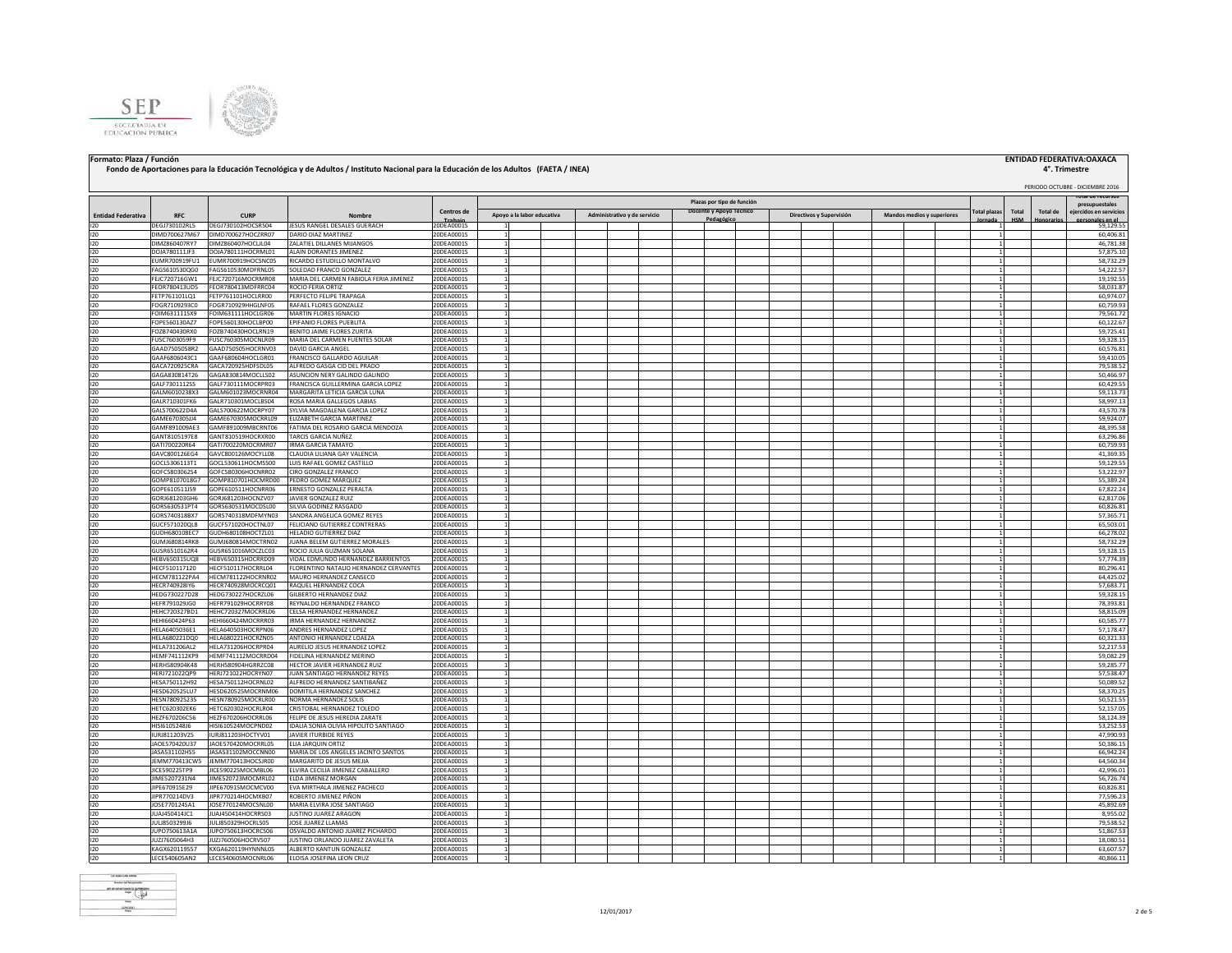



## **Fondo de Aportaciones para la Educación Tecnológica y de Adultos / Instituto Nacional para la Educación de los Adultos (FAETA / INEA)**

## **Formato: Plaza / Función ENTIDAD FEDERATIVA:OAXACA**

# **4°. Trimestre**<br>**PERIODO OCTUBRE - DICIEMBRE 2016**

### **Total plazas Jornada Total HSM Total de Honorarios Total de recursos presupuestales ejercidos en servicios personales en el periodo (2) Entidad Federativa RFC CURP Nombre Centros de** 20DEA0001S **Plazas por tipo de función Apoyo a la labor educativa Administrativo y de servicio Docente y Apoyo Técnico Pedagógico Directivos y Supervisión Mandos medios y superiores** I20 DEGJ730102RL5 DEGJ730102HOCSRS04 JESUS RANGEL DESALES GUERACH 20DEA0001S 1 1 59,129.55 I20 DIMD700627M67 DIMD700627HOCZRR07 DARIODIAZ MARTINEZ 20DEA0001S 1 1 1 1 1 1 1 1 1 1 1 1 1 1 1 1 60,406.81 I20 DIMZ860407RY7 DIMZ860407HOCLJL04 ZALATIEL DILLANES MIJANGOS 20DEA0001S 1 1 46,781.38 I20 DOJA780111JF3 DOJA780111HOCRML01 ALAIN DORANTES JIMENEZ 20DEA0001S 1 1 57,875.10 I20 EUMR700919FU1 EUMR700919HOCSNC05 RICARDO ESTUDILLO MONTALVO 200EA0001S 1 1 1 5 1 1 1 1 1 1 1 1 1 1 1 1 1 1 I20 FAGS610530QG0 FAGS610530MDFRNL05 SOLEDAD FRANCO GONZALEZ 20DEA0001S 1 1 54,222.57 I20 FEJC720716GW1 FEJC720716MOCRMR08 MARIA DEL CARMEN FABIOLA FERIA JIMENEZ 20DEA0001S 1 1 19,192.55 I20 FEOR780413UD5 FEOR780413MDFRRC04 ROCIOFERIA.ORTIZ 20DEA0001S 1 | | | | | | | | | | | | | | | | | 58,031.87 FETP761101LQ1 FETP761101HOCLRR00 PERFECTO FELIPE TRAPAGA 20DEA0001S 1<br>FOGR7109293C0 FOGR710929HHGLNF05 RAFAELE LORES GONZALEZ 20DEA0001S 1 1 1 1 60,759.93 ICR7109293C0 FOGR710929HHGLNF05 RAFAEL FLORES GONZALEZ 20DEA0001S 1<br>DIM6311115X9 FOIM631111HOCLGR06 MARTIN FLORES IGNACIO 20DEA0001S 1 2000 € 20DEA0001S 1 200 € 2000 € 2000 € 200 I20 FOIM631111SX9 FOIM631111HOCLGR06 MARTIN FLORES IGNACIO 20DEA0001S 1 1 79,561.72 I20 FOPE560130AZ7 FOPE560130HOCLBP00 EPIFANIO FLORES PUEBLITA 20DEA0001S 1 1 60,122.67 -02B740430RX0 FOZB740430HOCLRN19 BENITO JAIME FLORES ZURITA 20DEA0001S 1<br>-USC7603059F9 FUSC760305MOCNLR09 MARIA DEL CARMEN FUENTES SOLAR 20DEA0001S 1 1 1 59,328.15 I20 FUSC7603059F9 FUSC760305MOCNLR09 MARIA DEL CARMEN FUENTES SOLAR 20DEA0001S 1 1 59,328.15 I20 GAAD7505058R2 GAAD750505HOCRNV03 DAVID GARCIA ANGEL 20DEA0001S 1 1 60,576.81 GAAF680604HOCLGR01 FRANCISCO GALLARDO AGUILAR I20 GACA720925CRA GACA720925HDFSDL05 ALFREDO GASGA CID DEL PRADO 20DEA0001S 1 1 79,538.52 I20 GAGA830814T26 GAGA830814MOCLLS02 ASUNCION NERY GALINDO GALINDO 20DEA0001S 1 1 50,466.97 I20 GALF7301112S5 GALF730111MOCRPR03 FRANCISCA GUILLERMINA GARCIA LOPEZ 20DEA0001S 1 1 60,429.55 GALM601023MOCRNR04 MARGARITA LETICIA GARCIA LUNA I20 GALR710301FK6 GALR710301MOCLBS04 ROSA MARIA GALLEGOS LABIAS 20DEA0001S 1 1 58,997.13 LGALS700622D4A GGALS700622NOCRPY07 SYLVIAMAGDALENA GARCIA LOPEZ 20DEA0001S 1 1 1 43,570.7870.7922001 1 43,570.7870622D4 43,570.7870622D4 43,570.7870622D4 42,59.70.7870622D4 42,59.70.7870622001 1 4 43,570.7870 1 43,590.7870 CAME670305JJ4 GAME670305MOCRRL09 ELIZABETH GARCIA MARTINEZ 20DEA0001S 1<br>GAMF891009AE3 GAMF891009MBCRNT06 FATIMA DEL ROSARIO GARCIA MENDOZA 20DEA0001S 1 1 1 1 1 1 1 1 1 1 1 1 1 1 1 1 48,395.5 **GAMF891009MBCRNT06 FATIMA DEL ROSARIO GARCIA MEND** I20 GANT8105197E8 GANT810519HOCRXR00 TARCIS GARCIA NUÑEZ 20DEA0001S 1 1 63,296.86 I20 GATI700220R64 GATI700220MOCRMR07 IRMA GARCIA TAMAYO 20DEA0001S 1 1 60,759.93 I20 GAVC800126EG4 GAVC800126MOCYLL08 CLAUDIA LILIANA GAY VALENCIA 20DEA0001S 1 1 41,369.35 COCLESSORLISTING COCLESSORLINGONASSOR LUIS RAFAEL GOMEZ CASTILLO COCLESSORDIS ANNO 12000 LUIS RAFAEL GOMEZ CAS<br>COFECERNIANS COCLESSORD CHINO CASTILLO CASTILLO CASTILLO CASTILLO CASTILLO CASTILLO CASTILLO CASTILLO CASTILLO<br> I20 GOFC5803062S4 GOFC580306HOCNRR02 CIRO GONZALEZ FRANCO 20DEA0001S 1 1 53,222.97 I20 GOMP8107018G7 GOMP810701HOCMRD00 PEDRO GOMEZ MARQUEZ 20DEA0001S 1 1 55,389.24 I20 GOPE610511J59 GOPE610511HOCNRR06 ERNESTO GONZALEZ PERALTA 20DEA0001S 1 1 67,822.24 CORLEST GORLEST ANNE CONTROLLEZ RUIZ CORREST CONTROLLEZ RUIZ CORREST ANNO 2001 CONTROLLER CORREST CORREST CORREST AND DESCRIPTION OF THE CORREST CORREST CORREST CORREST CORRESPONDING A CORRESPONDING CORRESPONDING CORRESPON I20 GORS630531PT4 GORS630531MOCDSL00 SILVIA GODINEZ RASGADO 20DEA0001S 1 1 60,826.81 I20 GORS7403188X7 GORS740318MDFMYNN33 SANDRA ANGELICA GOMEZ REYES 2006A0001S 1<br>I20 GUCFS710200L8 GUCFS71020HOCTNU07 FELICANO.GUTUERREZ.CONTRERAS 2006A00001S 1 1 1 1 1 1 1 1 1 1 1 1 1 1 1 1 I20 GUCF571020QL8 GUCF571020HOCTNL07 FELICIANO GUTIERREZ CONTRERAS 20DEA0001S 1 1 65,503.01 I20 GUDH680108EC7 GUDH680108HOCTZL01 HELADIO GUTIERREZ DIAZ 20DEA0001S 1 1 66,278.02 I20 GUMJ680814RK8 GUMJ680814MOCTRN02 JUANA BELEM GUTIERREZ MORALES 20DEA0001S 1 1 58,732.29 I20 GUSR6510162R4 GUSR651016MOCZLC03 ROCIO JULIA GUZMAN SOLANA 20DEA0001S 1 1 59,328.15 HEBV650315UQ8 HEBV650315HOCRRD09 VIDAL EDMUNDO HERNANDEZ GERRIENTOS 20DEA0001S 1<br>HECFS10117120 HECFS10117HOCRRL04 FLORENTINO NATALIO HERNANDEZ CERVANTES 20DEA0001S 1 57,774.39 HECF510117120 HECF510117HOCRRL04 FLORENTINO NATALIO HERNANDEZ CERVANTES 2002-0001S 1 1 2 1 2004 1 2002-001 1 20<br>#CFA79117120A4 WECFA791117HOCRRL04 DAAINDO MARINDO MARINDO ZONE 2002-00001S 1 2002-00001S 1 24.215.01 HECM791122RA4 HECM781122HOCRNR02 MAURO HERNANDEZ CANSECO I20 HECR740928IY6 HECR740928MOCRCQ01 RAQUELHERNANDEZ COCA 20DEA0001S 1 1 | | | | | | | | | | | | | | | 57,683.71 I20 HEDG730227D28 HEDG730227HOCRZL06 GILBERTO HERNANDEZ DIAZ 20DEA0001S 1 1 59,328.15 I20 HEFR791029JG0 HEFR791029HOCRRY08 REYNALDO HERNANDEZ FRANCO 20DEA0001S 1 1 78,393.81 I20 HEHC720327BD1 HEHC720327MOCRRL06 CELSA HERNANDEZ HERNANDEZ 20DEA0001S 1 1 58,815.09 I20 HEHI660424P63 HEHI660424MOCRRR03 IRMA HERNANDEZ HERNANDEZ 20DEA0001S 1 1 60,585.77 I20 HELA6405036E1 HELA640503HOCRPN06 ANDRES HERNANDEZ LOPEZ 20DEA0001S 1 1 57,178.47 HELA680221DQ0 HELA680221HOCRZN05 ANTONIO HERNANDEZ LOAEZA 20DEA0001S 1<br>HELA731206AL2 HELA731206HOCRPR04 AURELIO JESUS HERNANDEZ LOPEZ 20DEA0001S 1 1 60,321.33 https://www.astuarchior.com/and/and/and/and/and/and/and/and/and -ΕLA731206AL2 HELA731206HOCRPR04 AURELD/ESUS-HERNANDEZ(ΩPEZ 2002–2002) 1 1 52,217.53<br>«ΕΜΕΣΑΙΊΝΣΗΣ ΗΕΝΑΕ?ΑΙΊΝΣΜΑΣΡΩΡΩΝ ΕΠΕΓΙΝΔΑ ΝΕΡΒΑΜΠΕΣ ΜΕΡΙΝΩ 2002–2002 1 2002–2003 1 2002–2012 1 2002–2012 1 200 HEME741112KP9 HEME741112MOCRRD04 FIDELINA HERNANDEZ MERINO HERH580904K48 HERH580904KGRRZCO8 |HECTOR JAVIER HERNANDEZ REYES | 2006LA0001S 1 1 | | | | | | | | | | | | | | |<br>HERJ210220P9 |HERJ21022HGCRYN07 |JUAN SANTIAGO HERNANDEZ REYES | |2006LA0001S | 1 | | | | | | | | | | | | | | I20 HERJ721022QP9 HERJ721022HOCRYN07 JUAN SANTIAGO HERNANDEZ REYES 20DEA0001S 1 1 57,538.47 I20 HESA750112H92 HESA750112HOCRNL02 |ALFREDOHERNANDEZ |20DEA0001S | 1 | | | | | | | | | | | | | | 50,089.52 | I20 HESD620525LU7 HESD620525MOCRNM06 DOMITILA HERNANDEZ SANCHEZ 20DEA0001S 1 1 58,370.25 I20 HESN780925235 HESN780925MOCRLR00 NORMA HERNANDEZ SOLIS 20DEA0001S 1 1 50,521.55 HETC620302EK6 HETC620302HOCRLR04 CRISTOBAL HERNANDEZ TOLEDO 20DEA0001S 1 1 1 52,157.05<br>IEZF670206C56 HEZF670206HOCRRL06 FELIPE DE JESUS HEREDIA ZARATE 20DEA0001S 1 1 1 58,124.35 I20 HEZF670206C56 HEZF670206HOCRRL06 FELIPE DE JESUS HEREDIA ZARATE 20DEA0001S 1 1 58,124.39 I20 HISI6105248J6 HISI610524MOCPND02 IDALIA SONIA OLIVIA HIPOLITO SANTIAGO 20DEA0001S 1 1 53,252.53 I20 IURJ811203V25 IURJ811203HOCTYV01 JAVIER ITURBIDE REYES 20DEA0001S 1 1 47,990.93 I20 JAOE570420U37 JAOE570420MOCRRL05 ELIA JARQUIN ORTIZ 20DEA0001S 1 1 50,386.15 IASA531102HS5 JASA531102MOCCMN00 MARIA DELOS ANGELES JACINTO SANTOS 2006-0001S 1<br>IFAMATZYAN SUKAMOZYANINANG MARIA DAREGARITO DE IESIN KERANG 2006-00001S 1 1 1 1 66,942.24 . 24 . 24 . 24 . 24<br>IFAMATZYAN SUKAM DENGANG MARIA I20 JEMM770413CW5 JEMM770413HOCSJR00 |MARGARITO DE JESUS MEJIA | | | | | | | | | | | | | | | | | | 64,560.34 | I20 JICE590225TP9 JICE590225MOCMBL06 ELVIRA CECILIA JIMENEZ CABALLERO 20DEA0001S 1 1 42,996.01 I20 JIME5207231N4 JIME520723MOCMRL02 ELDA JIMENEZ MORGAN 20DEA0001S 1 1 56,726.74 I20 JIPE670915E29 JIPE670915MOCMCV00 EVA MIRTHALA JIMENEZ PACHECO 20DEA0001S 1 1 60,826.81 I20 JIPR770214DV3 JIPR770214HOCMXB07 ROBERTOJIMENEZ PIÑON 20DEA0001S 1 | | | | | | | | | | | | | | | 77,596.23 I20 JOSE770124SA1 JIOSE770124MOCSNL00 MARIA<code>ELVIRA</code> IOSE ANTIAGO 20DEA0001S 1 20DEA0001S 1 20DEA0001S 1 20DEA0001S 20DEA0001S 20DEA0001S 20DEA0001S 20DEA0001S 20DEA0001S 20DEA0001S 20DEA0001S 20DEA0001S 20DEA0001S 20DEA000 I20 JUAJ450414JC1 JUAJ450414HOCRRS03 JUSTINO JUAREZ ARAGON 20DEA0001S 1 1 8,955.02 I20 JULJ8503299J6 JULJ850329HOCRLS05 JOSE JUAREZ LLAMAS 200EA0001S 1 1 7 1 1 1 1 1 1 1 1 1 1 1 1 1 1 79,538.52  $\text{UPO75061341A} \begin{tabular}{@{}c@{}} \textbf{I} & \textbf{II} & \textbf{II} \\ \textbf{II} & \textbf{II} & \textbf{II} \\ \textbf{II} & \textbf{II} \\ \textbf{II} & \textbf{II} \\ \textbf{II} & \textbf{II} \\ \textbf{II} & \textbf{II} \\ \textbf{II} & \textbf{II} \\ \textbf{II} & \textbf{II} \\ \textbf{II} & \textbf{II} \\ \textbf{II} & \textbf{II} \\ \textbf{II} & \textbf{II} \\ \textbf{II} & \textbf{II} \\ \textbf{II} & \textbf{II$ I20 JUZJ7605064H3 JUZJ760506HOCRVS07 JUSTINO ORLANDO JUAREZ ZAVALETA 20DEA0001S 1 1 18,080.51 I20 KAGX620119557 KXGA620119HYNNNL05 ALBERTO KANTUN GONZALEZ 20DEA0001S 1 1 63,607.57



I20 LECE540605AN2 LECE540605MOCNRL06 ELOISA JOSEFINA LEON CRUZ 20DEA0001S 1 1 40,866.11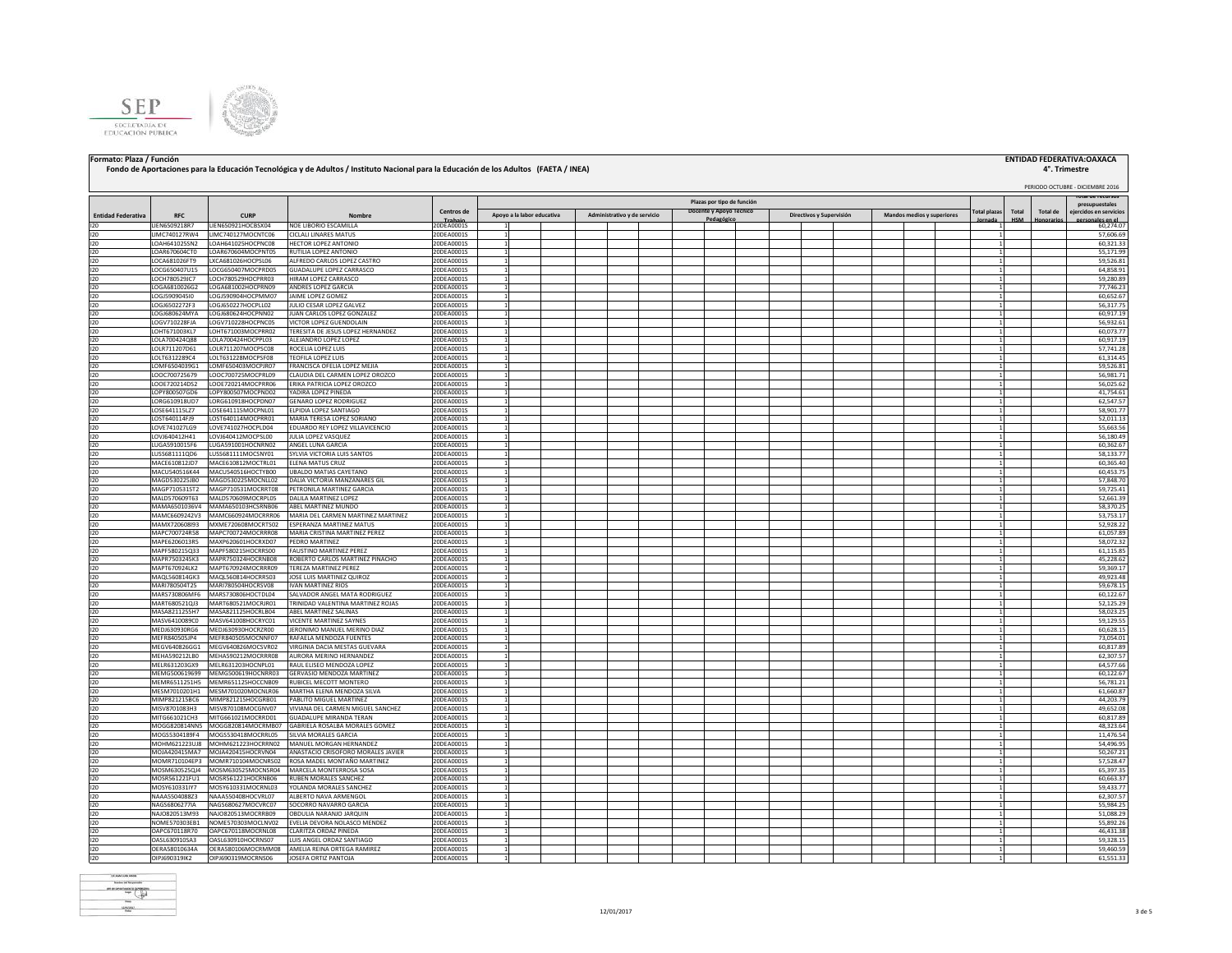



## **Formato: Plaza / Función ENTIDAD FEDERATIVA:OAXACA**

### **4°. Trimestre**<br>**PERIODO OCTUBRE - DICIEMBRE 2016 Total plazas Jornada Total HSM Total de Honorarios Total de recursos presupuestales dos en servi personales en el periodo (2) Fondo de Aportaciones para la Educación Tecnológica y de Adultos / Instituto Nacional para la Educación de los Adultos (FAETA / INEA) Entidad Federativa RFC CURP Nombre Centros de** 20DEA0001S **Plazas por tipo de función Apoyo a la labor educativa Administrativo y de servicio Docente y Apoyo Técnico Pedagógico Directivos y Supervisión Mandos medios y superiores** I20 LIEN6509218R7 LIEN650921HOCBSX04 NOE LIBORIO ESCAMILLA 20DEA0001S 1 | | | | | | | | | | | | | | | | 60,274.07 I20 |LIMC740127RW4 |LIMC740127MOCNTC06 |CICLALI\_LINARES\_MATUS 20DEA0001S | 1 | | | | | | | | | | | | | | | | 57,606.69 | I20 LOAH641025SN2 LOAH641025HOCPNC08 HECTOR LOPEZ ANTONIO 20DEA0001S 1 1 60,321.33 I20 LOAR670604CT0 LOAR670604MOCPNT05 RUTILIA LOPEZ ANTONIO 20DEA0001S 1 1 55,171.99 I20 LOCA681026FT9 LXCA681026HOCPSL06 ALFREDO CARLOS LOPEZ CASTRO 20DEA0001S 1 1 59,526.81 I20 LOCG650407U15 LOCG650407MOCPRD05 GUADALUPE LOPEZ CARRASCO 20DEA0001S 1 1 64,858.91 I20 LOCH780529JC7 LOCH780529HOCPRR03 HIRAM LOPEZ CARRASCO 20DEA0001S 1 1 59,280.89 I20 LOGA6810026G2 LOGA681002HOCPRN09 ANDRES LOPEZ GARCIA 20DEA0001S 1 1 77,746.23 0061590904510 LOGI590904HOCPMM07 JAIME LOPEZ GOMEZ 20DEA0001S 1 20DEA0001S 1 1 1 60,652.67<br>1.0GI6502272F3 LOGI650227HOCPLL02 JULIO CESAR LOPEZ GALVEZ 20DEA0001S 1 1 1 1 1 1 1 1 1 1 1 1 1 1 1 56,317.75 I20 LOGJ6502272F3 LOGJ650227HOCPLL02 JULIO CESAR LOPEZ GALVEZ 20DEA0001S 1 1 56,317.75 I20 LOGJ680624MYA LOGJ680624HOCPNN02 JUAN CARLOS LOPEZ GONZALEZ 20DEA0001S 1 1 60,917.19 I20 LOGV710228FJA LOGV710228HOCPNC05 VICTOR LOPEZ GUENDOLAIN 20DEA0001S 1 1 56,932.61 LOHT671003KL7 LOHT671003MOCPRR02 TERESITA DE JESUS LOPEZ HERNANDEZ 20DEA0001S 1 1 1 60,073.77<br>LOLA700424088 LOLA700424HOCPPL03 ALEJANDRO LOPEZ LOPEZ 200EA00001S 1 1 1 1 60,917.19 60,917.19 60,917.19 60,91 I20 LOLA700424Q88 LOLA700424HOCPPL03 ALEJANDRO LOPEZ LOPEZ 20DEA0001S 1 1 60,917.19 I20 LOLR711207D61 LOLR711207MOCPSC08 ROCELIA LOPEZ LUIS 20DEA0001S 1 1 57,741.28 I20 |LOLT6312289C4 |LOLT631228MOCPSF08 |TEOFILALOPEZLUIS |20DEA0001S | 1 | | | | | | | | | | | | | | | | 61,314.45 I20 LOMF6504039G1 LOMF650403MOCPJR07 FRANCISCA OFELIA LOPEZ MEJIA 20DEA0001S 1 1 59,526.81 LOOC700725679 LOOC700725MOCPRL09 CLAUDIA DEL CARMEN LOPEZ OROZCO 20DEA0001S 1 1 1 56,981.71 56,981.71 56,981.71<br>LOOE720214052 LOOE720214MOCPRR06 ERIKA PATRICIA LOPEZ OROZCO 20DEA0001S 1 1 1 1 1 1 1 1 1 1 1 1 56,025.62 I20 LOOE720214DS2 LOOE720214MOCPRR06 ERIKA PATRICIA LOPEZ OROZCO 20DEA0001S 1 1 56,025.62 LOPY800507MOCPND02 YADIRA LOPEZ PINEDA I20 LORG610918UD7 LORG610918HOCPDN07 GENARO LOPEZ RODRIGUEZ 20DEA0001S 1 1 62,547.57 I20 LOSE641115LZ7 LOSE641115MOCPNL01 ELPIDIA LOPEZ SANTIAGO 20DEA0001S 1 1 58,901.77 LOST640114FJ9 LOST640114MOCPRR01 MARIATERESA LOPEZ SORIANO 200EA0001S 1 1 1 52,011.13<br>LOVE741027LG9 LOVE741027HOCPLD04 EDUARDO REY LOPEZ VILLAVICENCIO 200EA0001S 1 1 1 55,663.501.13 LOVE741027LG9 LOVE741027HOCPLD04 EDUARDO REY LOPEZ VILLAVICENC I20 LOVJ640412H41 LOVJ640412MOCPSL00 JULIALOPEZ VASQUEZ 20DEA0001S 1 | | | | | | | | | | | | | | | | 56,180.49 I20 LUGA5910015F6 LUGA591001HOCNRN02 ANGEL LUNA GARCIA 20DEA0001S 1 1 60,362.67 I20 LUSS681111QD6 LUSS681111MOCSNY01 SYLVIA VICTORIA LUIS SANTOS 20DEA0001S 1 1 58,133.77 MACE610812D7 MACE610812MOCTRL01 ELENA MATUS CRUZ 2006-00001S 1<br>MACINE ARCHIVER AND DELENA MATUS CRUZ 2006-0001S 1 1 60.45.27 MACED 2006-0001S 1 1 60.45.27 MACED 2006-0001S 1 MACU540516HOCTYB00 UBALDO MATIAS CAYETANO I20 MAGD530225JB0 MAGD530225MOCNLL02 DALIA VICTORIA MANZANARES GIL 20DEA0001S 1 1 57,848.70 I20 MAGP710531ST2 MAGP710531MOCRRT08 PETRONILA MARTINEZ GARCIA 20DEA0001S 1 1 1 59,725.4<br>I20 MALD570609163 MALD570609MOCRPL05 DALILA MARTINEZ LOPEZ 20DEA0001S 1 1 1 52,661.3 IANUSTOROPTES INALD570609MOCRPL05 DALILA MARTINEZ LOPEZ 2001<br>IANALDSEOLOGIAL MALDASCOLOGIALCERING AGELI MARTINEZ AUNICO I20 MAMA6501036V4 MAMA650103HCSRNB06 ABEL MARTINEZ MUNDO 20DEA0001S 1 1 58,370.25 I20 MAMC6609242V3 MAMC6609242V3 MARIA DEL CARMEN MARTINEZ MARTINEZ ADARTINEZ ADARTINEZ 2002.<br>I20 MAMC6720608931 MAXME720608MOCRTS02 [ESPERANZA MARTINEZ MATIUS ANRTINEZ ADARTION 2006A0001S 1 1 1 1 1 1 1 1 I20 MAMX720608I93 MXME720608MOCRTS02 ESPERANZA MARTINEZ MATUS 20DEA0001S 1 1 52,928.22 INDECTOOTAMES MAPCRO224MOCRRRO8 MARIA CRISTINA MARTINEZ PEREZ 2000 ADONATO 2000 ADONATO 2000 ADONATO 2000 ADON<br>INDECTOOTARIS MAPOR 2000 MARIA CRISTINA MARTINEZ PEREZ 2000 ADONATO 2000 ADONATO 2000 ADONATO 2000 ADONATO 200<br> I20 MAPE6206013R5 MAXP620601HOCRXD07 PEDRO MARTINEZ 20DEA0001S 1 1 58,072.32 I20 MAPF580215Q33 MAPF580215HOCRRS00 FAUSTINO MARTINEZ PEREZ 20DEA0001S 1 1 | | | | | | | | | | | | | | | | 61,115.85 MAPR7503245K3 MAPR750324HOCRNB08 ROBERTO CARLOS MARTINEZ PINACHO 20DEA0001S 1 1 1 45,228.62<br>MAPT670924LK2 MAPT670924MOCRRR09 TEREZA MARTINEZ PEREZ 200EA0001S 1 200EA0001S 1 1 45,228.62 1 59,369.17 I20 MAPT670924LK2 MAPT670924MOCRRR09 TEREZA MARTINEZ PEREZ 20DEA0001S 1 1 59,369.17 I20 MAQL560814GK3 MAQL560814HOCRRS03 JOSELUIS MARTINEZ QUIROZ 20DEA0001S 1 1 | | | | | | | | | | | | | | | 49,923.48 I20 MARI780504T25 MARI780504HOCRSV08 IVAN MARTINEZ RIOS 20DEA0001S 1 1 59,678.15 I20 MARS730806MF6 MARS730806HOCTDL04 SALVADOR ANGEL MATA RODRIGUEZ 20DEA0001S 1 1 60,122.67 I20 MART680521QJ3 MART680521MOCRJR01 TRINIDAD VALENTINA MARTINEZ ROJAS 20DEA0001S 1 1 52,125.29 MASA8211255H7 MASA821125HOCRLB04 ABEL MARTINEZ SALINAS 200EA0001S 1 200EA0001S 1 58,023.25 and 58,023.25 and 58,023.25 and 58,023.25 and 58,023.25 and 58,023.25 and 58,023.25 and 58,023.25 and 59,023.25 and 59,023.25 and 5 I20 MASV6410089C0 MASV641008HOCRYC01 VICENTE MARTINEZ SAYNES 20DEA0001S 1 1 59,129.55 I20 MEDJ630930RG6 MEDJ630930HOCRZR00 JERONIMO MANUEL MERINO DIAZ 20DEA0001S 1 1 60,628.15 I20 MEFR840505JP4 MEFR840505MOCNNF07 RAFAELA MENDOZA FUENTES 20DEA0001S 1 1 73,054.01 I20 MEGV640826GG1 MEGV640826MOCSVR02 VIRGINIA DACIA MESTAS GUEVARA 20DEA0001S 1 1 60,817.89 I20 MEHA590212LB0 MEHA590212MOCRRR08 AURORA MERINO HERNANDEZ 20DEA0001S 1 1 62,307.57 I20 MELR631203GX9 MELR631203HOCNPL01 RAUL ELISEO MENDOZA LOPEZ 20DEA0001S 1 1 64,577.66 MEMG500619699 MEMG500619HOCNRR03 GERVASIO MENDOZA MARTINEZ 200EA0001S 1 1 1 1 1 60,122.67<br>MEMR6511251HS MEMR651125HOCCNB09 RUBICELMECOTT MONTERO 200EA0001S 1 1 1 1 1 1 1 1 55,781.21 I20 MEMR6511251H5 MEMR651125HOCCNB09 RUBICEL MECOTT MONTERO 20DEA0001S 1 1 56,781.21 MESM7010201H1 MESM701020MOCNLR06 MARTHA ELENA MENDOZA SILVA NIMP821215BC6 MIMP821215HOCGRB01 PABLITONIGUELMARTINEZ 2006A0001S 1<br>Inityazonia alikuwa kutoka kwa kutoka kwa kutoka kwa kutoka kwa kutoka kwa kutoka kwa kutoka kwa kutoka kwa kutoka kwa kutoka kwa kutoka kwa kutoka kwa ku MISV8701083H3 MISV870108MOCGNV07 VIVIANA DEL CARMEN MIGUEL SANCHEZ 20DEA0001S 1 1 1 49,652.08 MISV8701083H3 MISV8701083H3 MISV8701080HCGNV07 VIVIANA DEL CARMEN MIGUEL SANCHEZ 20DEA0001S 1 1 69,817.88 MISV870108 1 60,817.88 ATTG660202CH3 MITG662021MOCRRD01 GUADALUPE MIRANDATERAN 2000-0001S 1<br>ACCGES MIRANDA MOCGES MIRANDA CABRIFIA BONAM DAN DAN PARANDA 2000 AND 2000 AND 2000 AND 2000 AND 2000 AND 200<br>ACCGES ANN DAN DAN DAN DAN DAN DAN DAN DAN INCOG820814NN5 MOGG820814MOCRMB07 GABRIELA ROSALA MORALES COMEZ 2006<br>AOOGS620814140061201404001201001 GABRIELA ROSALA ROSALA ROSALA 2006 AOOD 2006 1 4876 11476 11476 11476 11476 1<br>AOOGS52041419662 MOGGS5204184MOCRDB07S SUN INOCS5304189F4 MOGS530418MOCRRL05 SILVIA MORALES GARCIA (2001)<br>INOHMOTIZINI MOHMACIZIZINCERRMO MANUELMORGAN HERNANDEZ 20DEA0001S 1 1 1 11,476.5454 (414 SEP) 11,476.544 (414 **INOHM621223UJ8 MOHM621223HOCRRN02 MANUEL MORGAN HERNANDEZ** INOJA420415MA7 MOJA420415MOCRVN04 ANASTACIO CRISOFORO MORALES JAVIER 2006FA0O01S 1<br>MOMARZ10104FP3 MOJA4270104MOCNISGO2 BOSGA MADEI MONTARÑO MARTINEZ 2006FA0001S 1 1 1 1 1 1 1 1 1 1 1 1 1 1 1 1 1 I20 MOMR710104EP3 MOMR710104MOCNRS02 ROSA MADEL MONTAÑO MARTINEZ 20DEA0001S 1 1 57,528.47 MOSM630525QJ4 MOSM630525MOCNSR04 MARCELA MONTERROSA SOSA I20 MOSR561221FU1 MOSR561221HOCRNB06 RUBEN MORALES SANCHEZ 20DEA0001S 1 1 60,663.37 I20 MOSY610331IY7 MOSY610331MOCRNL03 YOLANDA MORALES SANCHEZ 20DEA0001S 1 1 59,433.77 I20 NAAA5504088Z3 NAAA550408HOCVRL07 ALBERTO NAVA ARMENGOL 20DEA0001S 1 1 62,307.57 I20 NAGS6806277IA NAGS680627MOCVRC07 SOCORRO NAVARRO GARCIA 20DEA0001S 1 1 55,984.25 NAJO820513M93 NAJO820513MOCRRB09 OBDULIA NARANJO JARQUIN 20DEA0001S 1 1 1 1 1 1 51,088.29 NAJO820513MOCRRB09 OBDULIA NARANJO JARQUIN 2006 291 2006 2007 1 2008 29 I20 NOME570303EB1 NOME570303MOCLNV02 EVELIA DEVORA NOLASCO MENDEZ 20DEA0001S 1 1 55,892.26 I20 OAPC670118R70 OAPC670118MOCRNL08 CLARITZA ORDAZ PINEDA 20DEA0001S 1 1 46,431.38 I20 OASL630910SA3 OASL630910HOCRNS07 LUIS ANGEL ORDAZ SANTIAGO 20DEA0001S 1 1 59,328.15 OERA58010634A OERA580106MOCRMM08 AMELIA REINA ORTEGA RAMIREZ



I20 OIPJ690319IK2 OIPJ690319MOCRNS06 JOSEFA ORTIZ PANTOJA 20DEA0001S 1 1 61,551.33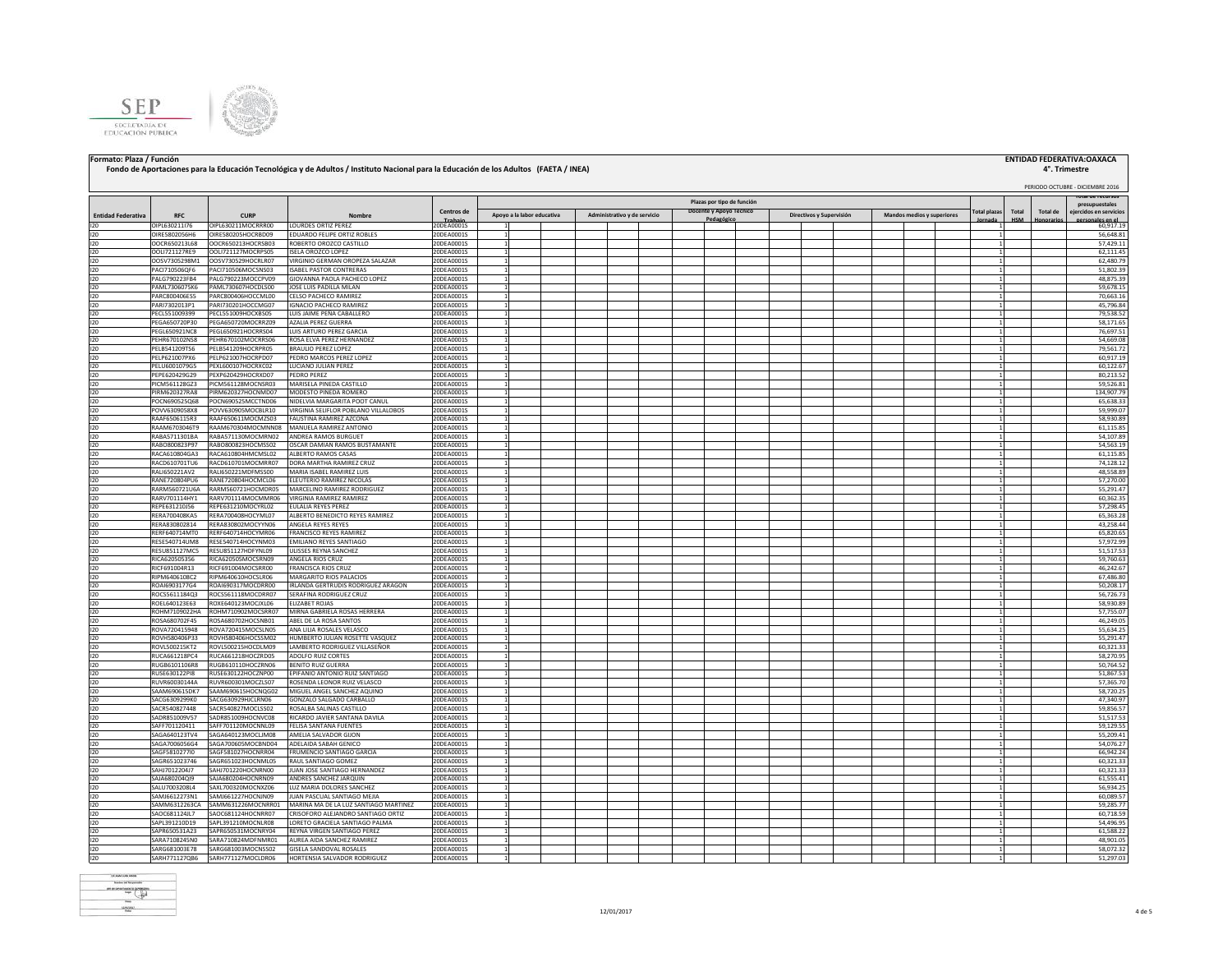



## Formato: Plaza / Función **instituto FEDERATIVA:OAXACA** | ENTIDAD FEDERATIVA:OAXACA<br>Fondo de Aportaciones para la Educación Tecnológica y de Adultos / Instituto Nacional para la Educación de los Adultos (FAETA / INEA)

# PERIODO OCTUBRE - DICIEMBRE 2016 **4°. Trimestre**

| <b>Entidad Federativa</b><br>120 | RFC                   | <b>CURP</b>         | Nombre                                |                       | Plazas por tipo de función |                            |                              |  |                         |           |  |                          |  |  |                            |  |  |              |       | presupuestales |                        |
|----------------------------------|-----------------------|---------------------|---------------------------------------|-----------------------|----------------------------|----------------------------|------------------------------|--|-------------------------|-----------|--|--------------------------|--|--|----------------------------|--|--|--------------|-------|----------------|------------------------|
|                                  |                       |                     |                                       | Centros de            |                            | Apoyo a la labor educativa | Administrativo y de servicio |  | Docente y Apoyo Técnico |           |  | Directivos y Supervisión |  |  | Mandos medios y superiores |  |  | 'otal plazas | Total | Total de       | ejercidos en servicios |
|                                  | OIPL630211I76         | OIPL630211MOCRRR00  | <b>LOURDES ORTIZ PEREZ</b>            | Trabajo<br>20DEA0001S |                            |                            |                              |  |                         | Pedagógio |  |                          |  |  |                            |  |  |              |       |                | es en el<br>60,917.19  |
| 120                              | OIRE5802056H6         | OIRE580205HOCRBD09  | EDUARDO FELIPE ORTIZ ROBLES           | 20DEA0001S            |                            |                            |                              |  |                         |           |  |                          |  |  |                            |  |  |              |       |                | 56,648.81              |
| 120                              | OOCR650213L68         | OOCR650213HOCRSB03  | ROBERTO OROZCO CASTILLO               | 20DEA0001S            |                            |                            |                              |  |                         |           |  |                          |  |  |                            |  |  |              |       |                | 57.429.11              |
| $120 -$                          | OOI1721127RF9         | OOL1721127MOCRPS05  | ISELA OROZCO LOPEZ                    | 20DEA0001S            |                            |                            |                              |  |                         |           |  |                          |  |  |                            |  |  |              |       |                | 62,111.45              |
|                                  |                       |                     |                                       |                       |                            |                            |                              |  |                         |           |  |                          |  |  |                            |  |  |              |       |                |                        |
| 120                              | OOSV7305298M1         | OOSV730529HOCRLR07  | VIRGINIO GERMAN OROPEZA SALAZAR       | 20DEA0001S            |                            |                            |                              |  |                         |           |  |                          |  |  |                            |  |  |              |       |                | 62,480.79              |
| 120                              | PACI710506QF6         | PACI710506MOCSNS03  | <b>ISAREL PASTOR CONTRERAS</b>        | 20DEA0001S            |                            |                            |                              |  |                         |           |  |                          |  |  |                            |  |  |              |       |                | 51,802.39              |
| 120                              | PALG790223FB4         | PALG790223MOCCPV09  | GIOVANNA PAOLA PACHECO LOPEZ          | 20DEA0001S            |                            |                            |                              |  |                         |           |  |                          |  |  |                            |  |  |              |       |                | 48.875.39              |
| 120                              | PAML7306075K6         | AML730607HOCDLS00   | JOSE LUIS PADILLA MILAN               | 20DEA0001S            |                            |                            |                              |  |                         |           |  |                          |  |  |                            |  |  |              |       |                | 59,678.15              |
| 120                              | PARC800406ES5         | ARC800406HOCCML00   | CELSO PACHECO RAMIREZ                 | 20DEA0001S            |                            |                            |                              |  |                         |           |  |                          |  |  |                            |  |  |              |       |                | 70,663.16              |
| 120                              | PARI7302013P1         | ARI730201HOCCMG07   | <b>GNACIO PACHECO RAMIREZ</b>         | 20DEA0001S            |                            |                            |                              |  |                         |           |  |                          |  |  |                            |  |  |              |       |                | 45,796.84              |
| 120                              | PECL551009399         | PECL551009HOCXBS05  | UIS JAIME PEÑA CABALLERO              | 20DEA0001S            |                            |                            |                              |  |                         |           |  |                          |  |  |                            |  |  |              |       |                | 79,538.52              |
| 120                              | PEGA650720P30         | PEGA650720MOCRRZ09  | AZALIA PEREZ GUERRA                   | 20DEA0001S            |                            |                            |                              |  |                         |           |  |                          |  |  |                            |  |  |              |       |                | 58,171.65              |
|                                  |                       |                     |                                       |                       |                            |                            |                              |  |                         |           |  |                          |  |  |                            |  |  |              |       |                |                        |
| 120                              | PEGL650921NC8         | PEGL650921HOCRRS04  | LUIS ARTURO PEREZ GARCIA              | 20DEA0001S            |                            |                            |                              |  |                         |           |  |                          |  |  |                            |  |  |              |       |                | 76,697.51              |
| 120                              | PEHR670102NS8         | PEHR670102MOCRRS06  | ROSA ELVA PEREZ HERNANDEZ             | 20DEA0001S            |                            |                            |                              |  |                         |           |  |                          |  |  |                            |  |  |              |       |                | 54,669.08              |
| 120                              | PELB541209TS6         | PELB541209HOCRPR05  | <b>BRAULIO PEREZ LOPEZ</b>            | 20DEA0001S            |                            |                            |                              |  |                         |           |  |                          |  |  |                            |  |  |              |       |                | 79,561.72              |
| 120                              | PELP621007PX6         | PELP621007HOCRPD07  | PEDRO MARCOS PEREZ LOPEZ              | 20DEA0001S            |                            |                            |                              |  |                         |           |  |                          |  |  |                            |  |  |              |       |                | 60,917.19              |
| 120                              | PELU6001079G5         | PEXL600107HOCRXC02  | <b>LUCIANO IULIAN PEREZ</b>           | 20DEA0001S            |                            |                            |                              |  |                         |           |  |                          |  |  |                            |  |  |              |       |                | 60.122.67              |
| 120                              | PEPE620429G29         | PEXP620429HOCRXD07  | PEDRO PEREZ                           | 20DEA0001S            |                            |                            |                              |  |                         |           |  |                          |  |  |                            |  |  |              |       |                | 80,213.52              |
| 120                              | PICM561128GZ3         | PICM561128MOCNSR03  | MARISELA PINEDA CASTILLO              | 20DEA0001S            |                            |                            |                              |  |                         |           |  |                          |  |  |                            |  |  |              |       |                | 59,526.81              |
| 120                              | PIRM620327RA8         | PIRM620327HOCNMD07  | MODESTO PINEDA ROMERO                 | 20DE A0001S           |                            |                            |                              |  |                         |           |  |                          |  |  |                            |  |  |              |       |                | 134,907.79             |
| 120                              | POCN690525Q68         | POCN690525MCCTND06  | NIDELVIA MARGARITA POOT CANUL         | 20DEA0001S            |                            |                            |                              |  |                         |           |  |                          |  |  |                            |  |  |              |       |                | 65.638.33              |
| 120                              | POVV6309058X8         | POVV630905MOCBLR10  | VIRGINIA SELIFLOR POBLANO VILLALOBOS  | 20DEA0001S            |                            |                            |                              |  |                         |           |  |                          |  |  |                            |  |  |              |       |                | 59,999.07              |
|                                  |                       |                     |                                       |                       |                            |                            |                              |  |                         |           |  |                          |  |  |                            |  |  |              |       |                |                        |
| 120                              | RAAF6506115R3         | RAAF650611MOCMZS03  | FAUSTINA RAMIREZ AZCONA               | 20DEA0001S            |                            |                            |                              |  |                         |           |  |                          |  |  |                            |  |  |              |       |                | 58,930.89              |
| 120                              | RAAM6703046T9         | RAAM670304MOCMNN08  | MANUELA RAMIREZ ANTONIC               | 20DEA0001S            |                            |                            |                              |  |                         |           |  |                          |  |  |                            |  |  |              |       |                | 61,115.85              |
| 120                              | RABA5711301BA         | RABA571130MOCMRN02  | <b>ANDREA RAMOS BURGUET</b>           | 20DEA0001S            |                            |                            |                              |  |                         |           |  |                          |  |  |                            |  |  |              |       |                | 54.107.89              |
| $120 -$                          | RABO800823P97         | RABO800823HOCMSS02  | OSCAR DAMIAN RAMOS BUSTAMANTE         | 20DEA0001S            |                            |                            |                              |  |                         |           |  |                          |  |  |                            |  |  |              |       |                | 54.563.19              |
| 120                              | RACA610804GA3         | RACA610804HMCMSL02  | ALBERTO RAMOS CASAS                   | 20DEA0001S            |                            |                            |                              |  |                         |           |  |                          |  |  |                            |  |  |              |       |                | 61.115.85              |
| 120                              | RACD610701TU6         | RACD610701MOCMRR07  | DORA MARTHA RAMIREZ CRUZ              | 20DEA0001S            |                            |                            |                              |  |                         |           |  |                          |  |  |                            |  |  |              |       |                | 74,128.12              |
| 120                              | RALI650221AV2         | RALI650221MDFMSS00  | MARIA ISABEL RAMIREZ LUIS             | 20DEA0001S            |                            |                            |                              |  |                         |           |  |                          |  |  |                            |  |  |              |       |                | 48,558.89              |
| 120                              | RANE720804PU6         | RANE720804HOCMCL06  | <b>LEUTERIO RAMIREZ NICOLAS</b>       | 20DEA0001S            |                            |                            |                              |  |                         |           |  |                          |  |  |                            |  |  |              |       |                | 57,270.00              |
| 120                              | RARM560721U6A         | RARM560721HOCMDR05  | MARCELINO RAMIREZ RODRIGUEZ           | 20DEA0001S            |                            |                            |                              |  |                         |           |  |                          |  |  |                            |  |  |              |       |                | 55,291.47              |
|                                  |                       |                     |                                       |                       |                            |                            |                              |  |                         |           |  |                          |  |  |                            |  |  |              |       |                |                        |
| 120                              | RARV701114HY1         | RARV701114MOCMMR06  | <b>IRGINIA RAMIREZ RAMIREZ</b>        | 20DEA0001S            |                            |                            |                              |  |                         |           |  |                          |  |  |                            |  |  |              |       |                | 60,362.35              |
| 120                              | REPE631210J56         | REPE631210MOCYRL02  | ULALIA REYES PEREZ                    | 20DEA0001S            |                            |                            |                              |  |                         |           |  |                          |  |  |                            |  |  |              |       |                | 57,298.45              |
| 120                              | RERA700408KA5         | RERA700408HOCYML07  | ALBERTO BENEDICTO REYES RAMIREZ       | 20DEA0001S            |                            |                            |                              |  |                         |           |  |                          |  |  |                            |  |  |              |       |                | 65,363.28              |
| 120                              | RERA830802814         | RERA830802MOCYYN06  | ANGELA REYES REYES                    | 20DEA0001S            |                            |                            |                              |  |                         |           |  |                          |  |  |                            |  |  |              |       |                | 43,258.44              |
| 120                              | RERF640714MT0         | RERF640714HOCYMR06  | FRANCISCO REYES RAMIREZ               | 20DEA0001S            |                            |                            |                              |  |                         |           |  |                          |  |  |                            |  |  |              |       |                | 65,820.65              |
| $120 -$                          | RESE540714UM8         | RESE540714HOCYNM03  | <b>EMILIANO REYES SANTIAGO</b>        | 20DEA0001S            |                            |                            |                              |  |                         |           |  |                          |  |  |                            |  |  |              |       |                | 57,972.99              |
| 120                              | RESU851127MC5         | RESU851127HDFYNL09  | ULISSES REYNA SANCHEZ                 | 20DEA0001S            |                            |                            |                              |  |                         |           |  |                          |  |  |                            |  |  |              |       |                | 51,517.53              |
| 120                              | RICA620505356         | RICA620505MOCSRN09  | ANGELA RIOS CRUZ                      | 20DEA0001S            |                            |                            |                              |  |                         |           |  |                          |  |  |                            |  |  |              |       |                | 59,760.63              |
| 120                              | RICF691004R13         | RICF691004MOCSRR00  | <b>FRANCISCA RIOS CRUZ</b>            | 20DEA0001S            |                            |                            |                              |  |                         |           |  |                          |  |  |                            |  |  |              |       |                | 46.242.67              |
| 120                              | RIPM6406108C2         | RIPM640610HOCSLR06  | MARGARITO RIOS PALACIOS               | 20DEA0001S            |                            |                            |                              |  |                         |           |  |                          |  |  |                            |  |  |              |       |                | 67,486.80              |
|                                  |                       |                     |                                       |                       |                            |                            |                              |  |                         |           |  |                          |  |  |                            |  |  |              |       |                |                        |
| 120                              | ROAI6903177G4         | ROAI690317MOCDRR00  | IRLANDA GERTRUDIS RODRIGUEZ ARAGON    | 20DEA0001S            |                            |                            |                              |  |                         |           |  |                          |  |  |                            |  |  |              |       |                | 50,208.17              |
| 120                              | ROCS5611184Q3         | ROCS561118MOCDRR07  | SERAFINA RODRIGUEZ CRUZ               | 20DEA0001S            |                            |                            |                              |  |                         |           |  |                          |  |  |                            |  |  |              |       |                | 56,726.73              |
| 120                              | ROEL640123E63         | ROXE640123MOCJXL06  | ELIZABET ROJAS                        | 20DEA0001S            |                            |                            |                              |  |                         |           |  |                          |  |  |                            |  |  |              |       |                | 58,930.89              |
| 120                              | ROHM7109022HA         | ROHM710902MOCSRR07  | MIRNA GABRIELA ROSAS HERRERA          | 20DEA0001S            |                            |                            |                              |  |                         |           |  |                          |  |  |                            |  |  |              |       |                | 57,755.07              |
| 120                              | ROSA680702F45         | ROSA680702HOCSNB01  | ABEL DE LA ROSA SANTOS                | 20DEA0001S            |                            |                            |                              |  |                         |           |  |                          |  |  |                            |  |  |              |       |                | 46,249.05              |
| 120                              | ROVA720415948         | ROVA720415MOCSLN05  | ANA LILIA ROSALES VELASCO             | 20DEA0001S            |                            |                            |                              |  |                         |           |  |                          |  |  |                            |  |  |              |       |                | 55,634.25              |
| 120                              | ROVH580406P33         | ROVH580406HOCSSM02  | HUMBERTO JULIAN ROSETTE VASQUEZ       | 20DEA0001S            |                            |                            |                              |  |                         |           |  |                          |  |  |                            |  |  |              |       |                | 55.291.47              |
| $120 -$                          | <b>ROVI 500215KT2</b> | ROVI 500215HOCDLM09 | LAMBERTO RODRIGUEZ VILLASEÑOR         | 20DEA0001S            |                            |                            |                              |  |                         |           |  |                          |  |  |                            |  |  |              |       |                | 60.321.33              |
| 120                              | RUCA661218PC4         | RUCA661218HOCZRD05  | ADOLFO RUIZ CORTES                    | 20DEA0001S            |                            |                            |                              |  |                         |           |  |                          |  |  |                            |  |  |              |       |                | 58.270.95              |
| 120                              | RUGB6101106R8         | RUGB610110HOCZRN06  | <b>BENITO RUIZ GUERRA</b>             | 20DEA0001S            |                            |                            |                              |  |                         |           |  |                          |  |  |                            |  |  |              |       |                | 50,764.52              |
|                                  |                       |                     |                                       |                       |                            |                            |                              |  |                         |           |  |                          |  |  |                            |  |  |              |       |                |                        |
| 120                              | RUSE630122PI8         | RUSE630122HOCZNP00  | EPIFANIO ANTONIO RUIZ SANTIAGO        | 20DEA0001S            |                            |                            |                              |  |                         |           |  |                          |  |  |                            |  |  |              |       |                | 51,867.53              |
| 120                              | RUVR60030144A         | RUVR600301MOCZLS07  | ROSENDA LEONOR RUIZ VELASCO           | 20DEA0001S            |                            |                            |                              |  |                         |           |  |                          |  |  |                            |  |  |              |       |                | 57,365.70              |
| 120                              | SAAM690615DK7         | SAAM690615HOCNQG02  | MIGUEL ANGEL SANCHEZ AQUINO           | 20DEA0001S            |                            |                            |                              |  |                         |           |  |                          |  |  |                            |  |  |              |       |                | 58,720.25              |
| 120                              | SACG6309299K0         | SACG630929HJCLRN06  | GONZALO SALGADO CARBALLO              | 20DEA0001S            |                            |                            |                              |  |                         |           |  |                          |  |  |                            |  |  |              |       |                | 47,340.97              |
| 120                              | SACR540827448         | SACR540827MOCLSS02  | ROSALBA SALINAS CASTILLO              | 20DEA0001S            |                            |                            |                              |  |                         |           |  |                          |  |  |                            |  |  |              |       |                | 59,856.57              |
| 120                              | SADR851009V57         | SADR851009HOCNVC08  | RICARDO JAVIER SANTANA DAVILA         | 20DEA0001S            |                            |                            |                              |  |                         |           |  |                          |  |  |                            |  |  |              |       |                | 51,517.53              |
| 120                              | SAFF701120411         | SAFF701120MOCNNL09  | FELISA SANTANA FUENTES                | 20DEA0001S            |                            |                            |                              |  |                         |           |  |                          |  |  |                            |  |  |              |       |                | 59,129.55              |
| 120                              | SAGA640123TV4         | SAGA640123MOCLIM08  | AMELIA SALVADOR GIJON                 | 20DEA0001S            |                            |                            |                              |  |                         |           |  |                          |  |  |                            |  |  |              |       |                | 55,209.41              |
|                                  |                       |                     |                                       |                       |                            |                            |                              |  |                         |           |  |                          |  |  |                            |  |  |              |       |                |                        |
| 120                              | SAGA7006056G4         | SAGA700605MOCBND04  | ADELAIDA SABAH GENICO                 | 20DEA0001S            |                            |                            |                              |  |                         |           |  |                          |  |  |                            |  |  |              |       |                | 54,076.27              |
| 120                              | SAGF5810277I0         | SAGF581027HOCNRR04  | FRUMENCIO SANTIAGO GARCIA             | 20DEA0001S            |                            |                            |                              |  |                         |           |  |                          |  |  |                            |  |  |              |       |                | 66,942.24              |
| 120                              | SAGR651023746         | SAGR651023HOCNML05  | <b>RAUL SANTIAGO GOMEZ</b>            | 20DEA0001S            |                            |                            |                              |  |                         |           |  |                          |  |  |                            |  |  |              |       |                | 60,321.33              |
| 120                              | SAHJ7012204J7         | SAHJ701220HOCNRN00  | JUAN JOSE SANTIAGO HERNANDEZ          | 20DEA0001S            |                            |                            |                              |  |                         |           |  |                          |  |  |                            |  |  |              |       |                | 60,321.33              |
| 120                              | SAJA680204QI9         | SAJA680204HOCNRN09  | ANDRES SANCHEZ JARQUIN                | 20DEA0001S            |                            |                            |                              |  |                         |           |  |                          |  |  |                            |  |  |              |       |                | 61,555.41              |
| 120                              | SALU7003208L4         | SAXI 700320MOCNX706 | <b>LUZ MARIA DOLORES SANCHEZ</b>      | 20DE A0001S           |                            |                            |                              |  |                         |           |  |                          |  |  |                            |  |  |              |       |                | 56,934.25              |
| 120                              | SAMJ6612273N1         | SAMJ661227HOCNJN09  | JUAN PASCUAL SANTIAGO MEJIA           | 20DEA0001S            |                            |                            |                              |  |                         |           |  |                          |  |  |                            |  |  |              |       |                | 60.089.57              |
| 120                              | SAMM6312263CA         | SAMM631226MOCNRR01  | MARINA MA DE LA LUZ SANTIAGO MARTINEZ | 20DEA0001S            |                            |                            |                              |  |                         |           |  |                          |  |  |                            |  |  |              |       |                | 59,285.77              |
|                                  |                       |                     |                                       |                       |                            |                            |                              |  |                         |           |  |                          |  |  |                            |  |  |              |       |                |                        |
| 120                              | SAOC681124JL7         | SAOC681124HOCNRR07  | CRISOFORO ALEJANDRO SANTIAGO ORTIZ    | 20DEA0001S            |                            |                            |                              |  |                         |           |  |                          |  |  |                            |  |  |              |       |                | 60,718.59              |
| 120                              | SAPL391210D19         | SAPL391210MOCNLR08  | LORETO GRACIELA SANTIAGO PALMA        | 20DEA0001S            |                            |                            |                              |  |                         |           |  |                          |  |  |                            |  |  |              |       |                | 54,496.95              |
| 120                              | SAPR650531A23         | SAPR650531MOCNRY04  | REYNA VIRGEN SANTIAGO PEREZ           | 20DEA0001S            |                            |                            |                              |  |                         |           |  |                          |  |  |                            |  |  |              |       |                | 61.588.22              |
| 120                              | SARA7108245N0         | SARA710824MDENMR01  | AUREA AIDA SANCHEZ RAMIREZ            | 20DEA0001S            |                            |                            |                              |  |                         |           |  |                          |  |  |                            |  |  |              |       |                | 48,901.05              |
| 120                              | SARG681003E78         | SARG681003MOCNSS02  | <b>GISELA SANDOVAL ROSALES</b>        | 20DEA0001S            |                            |                            |                              |  |                         |           |  |                          |  |  |                            |  |  |              |       |                | 58.072.32              |
| 120                              | SARH771127QB6         | SARH771127MOCLDR06  | HORTENSIA SALVADOR RODRIGUEZ          | 20DEA0001S            |                            |                            |                              |  |                         |           |  |                          |  |  |                            |  |  |              |       |                | 51,297.03              |